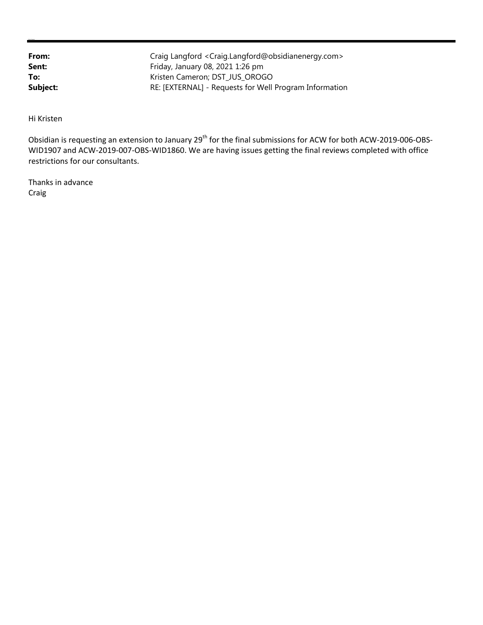| From:    | Craig Langford < Craig.Langford@obsidianenergy.com>    |
|----------|--------------------------------------------------------|
| Sent:    | Friday, January 08, 2021 1:26 pm                       |
| To:      | Kristen Cameron; DST JUS OROGO                         |
| Subject: | RE: [EXTERNAL] - Requests for Well Program Information |

Hi Kristen

**Kristen Cameron**

Obsidian is requesting an extension to January 29<sup>th</sup> for the final submissions for ACW for both ACW-2019-006-OBS-WID1907 and ACW-2019-007-OBS-WID1860. We are having issues getting the final reviews completed with office restrictions for our consultants.

Thanks in advance Craig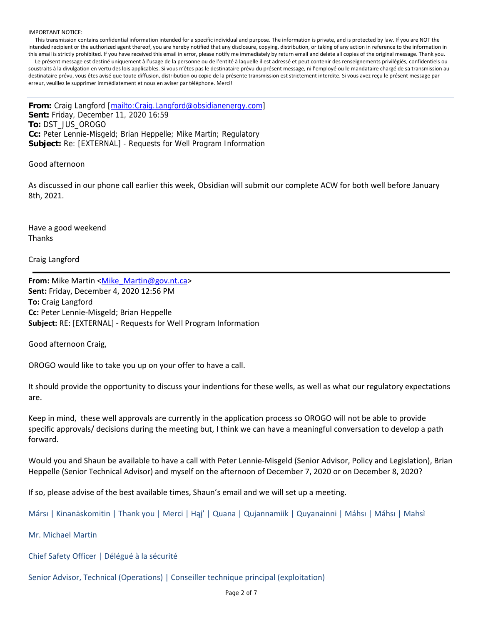#### IMPORTANT NOTICE:

 This transmission contains confidential information intended for a specific individual and purpose. The information is private, and is protected by law. If you are NOT the intended recipient or the authorized agent thereof, you are hereby notified that any disclosure, copying, distribution, or taking of any action in reference to the information in this email is strictly prohibited. If you have received this email in error, please notify me immediately by return email and delete all copies of the original message. Thank you. Le présent message est destiné uniquement à l'usage de la personne ou de l'entité à laquelle il est adressé et peut contenir des renseignements privilégiés, confidentiels ou soustraits à la divulgation en vertu des lois applicables. Si vous n'êtes pas le destinataire prévu du présent message, ni l'employé ou le mandataire chargé de sa transmission au destinataire prévu, vous êtes avisé que toute diffusion, distribution ou copie de la présente transmission est strictement interdite. Si vous avez reçu le présent message par erreur, veuillez le supprimer immédiatement et nous en aviser par téléphone. Merci!

**From:** Craig Langford [mailto:Craig.Langford@obsidianenergy.com] **Sent:** Friday, December 11, 2020 16:59 **To:** DST\_JUS\_OROGO **Cc:** Peter Lennie-Misgeld; Brian Heppelle; Mike Martin; Regulatory **Subject:** Re: [EXTERNAL] - Requests for Well Program Information

Good afternoon

As discussed in our phone call earlier this week, Obsidian will submit our complete ACW for both well before January 8th, 2021.

Have a good weekend Thanks

Craig Langford

**From:** Mike Martin <Mike\_Martin@gov.nt.ca> **Sent:** Friday, December 4, 2020 12:56 PM **To:** Craig Langford **Cc:** Peter Lennie‐Misgeld; Brian Heppelle **Subject:** RE: [EXTERNAL] ‐ Requests for Well Program Information

Good afternoon Craig,

OROGO would like to take you up on your offer to have a call.

It should provide the opportunity to discuss your indentions for these wells, as well as what our regulatory expectations are.

Keep in mind, these well approvals are currently in the application process so OROGO will not be able to provide specific approvals/ decisions during the meeting but, I think we can have a meaningful conversation to develop a path forward.

Would you and Shaun be available to have a call with Peter Lennie‐Misgeld (Senior Advisor, Policy and Legislation), Brian Heppelle (Senior Technical Advisor) and myself on the afternoon of December 7, 2020 or on December 8, 2020?

If so, please advise of the best available times, Shaun's email and we will set up a meeting.

Mársı | Kinanāskomitin | Thank you | Merci | Hąį' | Quana | Qujannamiik | Quyanainni | Máhsı | Máhsı | Mahsı̀

Mr. Michael Martin

Chief Safety Officer | Délégué à la sécurité

Senior Advisor, Technical (Operations) | Conseiller technique principal (exploitation)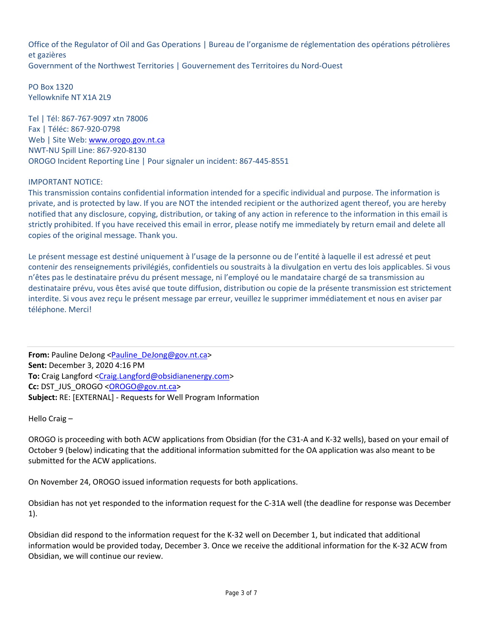Office of the Regulator of Oil and Gas Operations | Bureau de l'organisme de réglementation des opérations pétrolières et gazières Government of the Northwest Territories | Gouvernement des Territoires du Nord‐Ouest

PO Box 1320 Yellowknife NT X1A 2L9

Tel | Tél: 867‐767‐9097 xtn 78006 Fax | Téléc: 867‐920‐0798 Web | Site Web: www.orogo.gov.nt.ca NWT‐NU Spill Line: 867‐920‐8130 OROGO Incident Reporting Line | Pour signaler un incident: 867‐445‐8551

# IMPORTANT NOTICE:

This transmission contains confidential information intended for a specific individual and purpose. The information is private, and is protected by law. If you are NOT the intended recipient or the authorized agent thereof, you are hereby notified that any disclosure, copying, distribution, or taking of any action in reference to the information in this email is strictly prohibited. If you have received this email in error, please notify me immediately by return email and delete all copies of the original message. Thank you.

Le présent message est destiné uniquement à l'usage de la personne ou de l'entité à laquelle il est adressé et peut contenir des renseignements privilégiés, confidentiels ou soustraits à la divulgation en vertu des lois applicables. Si vous n'êtes pas le destinataire prévu du présent message, ni l'employé ou le mandataire chargé de sa transmission au destinataire prévu, vous êtes avisé que toute diffusion, distribution ou copie de la présente transmission est strictement interdite. Si vous avez reçu le présent message par erreur, veuillez le supprimer immédiatement et nous en aviser par téléphone. Merci!

**From:** Pauline DeJong <Pauline\_DeJong@gov.nt.ca> **Sent:** December 3, 2020 4:16 PM **To:** Craig Langford <Craig.Langford@obsidianenergy.com> **Cc:** DST\_JUS\_OROGO <OROGO@gov.nt.ca> **Subject:** RE: [EXTERNAL] ‐ Requests for Well Program Information

Hello Craig –

OROGO is proceeding with both ACW applications from Obsidian (for the C31‐A and K‐32 wells), based on your email of October 9 (below) indicating that the additional information submitted for the OA application was also meant to be submitted for the ACW applications.

On November 24, OROGO issued information requests for both applications.

Obsidian has not yet responded to the information request for the C‐31A well (the deadline for response was December 1).

Obsidian did respond to the information request for the K‐32 well on December 1, but indicated that additional information would be provided today, December 3. Once we receive the additional information for the K‐32 ACW from Obsidian, we will continue our review.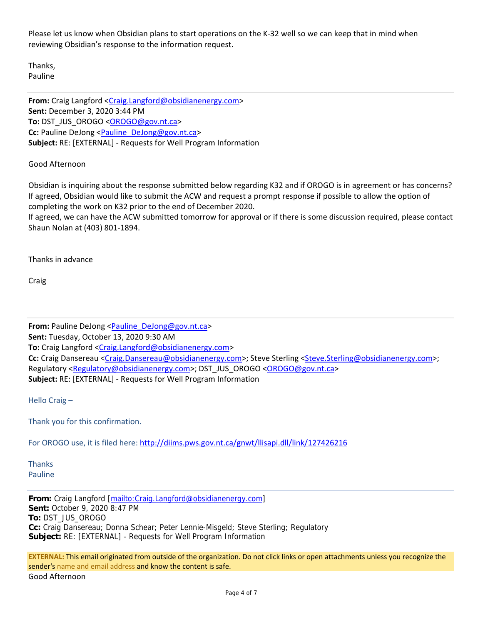Please let us know when Obsidian plans to start operations on the K‐32 well so we can keep that in mind when reviewing Obsidian's response to the information request.

Thanks, Pauline

**From:** Craig Langford <Craig.Langford@obsidianenergy.com> **Sent:** December 3, 2020 3:44 PM **To:** DST\_JUS\_OROGO <OROGO@gov.nt.ca> **Cc:** Pauline DeJong <Pauline\_DeJong@gov.nt.ca> **Subject:** RE: [EXTERNAL] ‐ Requests for Well Program Information

# Good Afternoon

Obsidian is inquiring about the response submitted below regarding K32 and if OROGO is in agreement or has concerns? If agreed, Obsidian would like to submit the ACW and request a prompt response if possible to allow the option of completing the work on K32 prior to the end of December 2020.

If agreed, we can have the ACW submitted tomorrow for approval or if there is some discussion required, please contact Shaun Nolan at (403) 801‐1894.

Thanks in advance

Craig

**From:** Pauline DeJong <Pauline\_DeJong@gov.nt.ca> **Sent:** Tuesday, October 13, 2020 9:30 AM To: Craig Langford <Craig.Langford@obsidianenergy.com> **Cc:** Craig Dansereau <Craig.Dansereau@obsidianenergy.com>; Steve Sterling <Steve.Sterling@obsidianenergy.com>; Regulatory <Regulatory@obsidianenergy.com>; DST\_JUS\_OROGO <OROGO@gov.nt.ca> **Subject:** RE: [EXTERNAL] ‐ Requests for Well Program Information

Hello Craig –

Thank you for this confirmation.

For OROGO use, it is filed here: http://diims.pws.gov.nt.ca/gnwt/llisapi.dll/link/127426216

Thanks Pauline

**From:** Craig Langford [mailto:Craig.Langford@obsidianenergy.com] **Sent:** October 9, 2020 8:47 PM **To:** DST\_JUS\_OROGO **Cc:** Craig Dansereau; Donna Schear; Peter Lennie-Misgeld; Steve Sterling; Regulatory **Subject:** RE: [EXTERNAL] - Requests for Well Program Information

**EXTERNAL:** This email originated from outside of the organization. Do not click links or open attachments unless you recognize the sender's name and email address and know the content is safe. Good Afternoon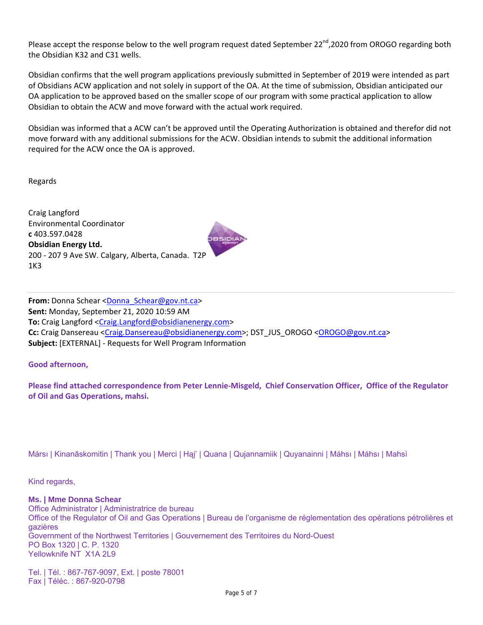Please accept the response below to the well program request dated September 22<sup>nd</sup>,2020 from OROGO regarding both the Obsidian K32 and C31 wells.

Obsidian confirms that the well program applications previously submitted in September of 2019 were intended as part of Obsidians ACW application and not solely in support of the OA. At the time of submission, Obsidian anticipated our OA application to be approved based on the smaller scope of our program with some practical application to allow Obsidian to obtain the ACW and move forward with the actual work required.

Obsidian was informed that a ACW can't be approved until the Operating Authorization is obtained and therefor did not move forward with any additional submissions for the ACW. Obsidian intends to submit the additional information required for the ACW once the OA is approved.

Regards

Craig Langford Environmental Coordinator **c** 403.597.0428 **Obsidian Energy Ltd.** 200 ‐ 207 9 Ave SW. Calgary, Alberta, Canada. T2P 1K3



**From:** Donna Schear <Donna\_Schear@gov.nt.ca> **Sent:** Monday, September 21, 2020 10:59 AM **To:** Craig Langford <Craig.Langford@obsidianenergy.com> **Cc:** Craig Dansereau <Craig.Dansereau@obsidianenergy.com>; DST\_JUS\_OROGO <OROGO@gov.nt.ca> **Subject:** [EXTERNAL] ‐ Requests for Well Program Information

### **Good afternoon,**

Please find attached correspondence from Peter Lennie-Misgeld, Chief Conservation Officer, Office of the Regulator **of Oil and Gas Operations, mahsi.**

Mársı | Kinanāskomitin | Thank you | Merci | Hąį' | Quana | Qujannamiik | Quyanainni | Máhsı | Máhsı | Mahsı̀

Kind regards,

**Ms. | Mme Donna Schear** Office Administrator | Administratrice de bureau Office of the Regulator of Oil and Gas Operations | Bureau de l'organisme de réglementation des opérations pétrolières et gazières Government of the Northwest Territories | Gouvernement des Territoires du Nord-Ouest PO Box 1320 | C. P. 1320 Yellowknife NT X1A 2L9

Tel. | Tél. : 867-767-9097, Ext. | poste 78001 Fax | Téléc. : 867-920-0798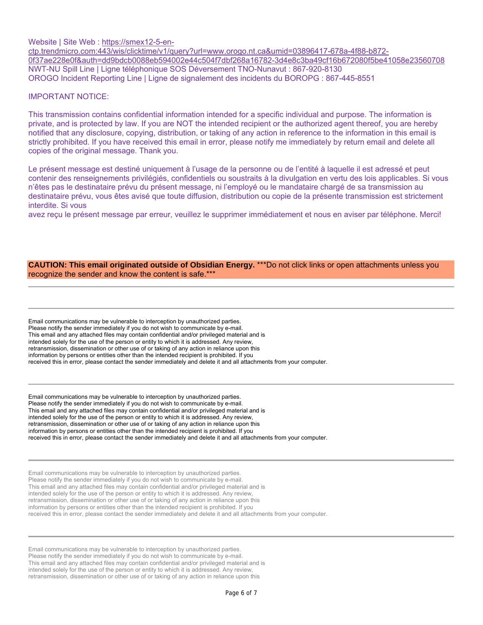Website | Site Web : https://smex12-5-en-

ctp.trendmicro.com:443/wis/clicktime/v1/query?url=www.orogo.nt.ca&umid=03896417-678a-4f88-b872- 0f37ae228e0f&auth=dd9bdcb0088eb594002e44c504f7dbf268a16782-3d4e8c3ba49cf16b672080f5be41058e23560708 NWT-NU Spill Line | Ligne téléphonique SOS Déversement TNO-Nunavut : 867-920-8130 OROGO Incident Reporting Line | Ligne de signalement des incidents du BOROPG : 867-445-8551

#### IMPORTANT NOTICE:

This transmission contains confidential information intended for a specific individual and purpose. The information is private, and is protected by law. If you are NOT the intended recipient or the authorized agent thereof, you are hereby notified that any disclosure, copying, distribution, or taking of any action in reference to the information in this email is strictly prohibited. If you have received this email in error, please notify me immediately by return email and delete all copies of the original message. Thank you.

Le présent message est destiné uniquement à l'usage de la personne ou de l'entité à laquelle il est adressé et peut contenir des renseignements privilégiés, confidentiels ou soustraits à la divulgation en vertu des lois applicables. Si vous n'êtes pas le destinataire prévu du présent message, ni l'employé ou le mandataire chargé de sa transmission au destinataire prévu, vous êtes avisé que toute diffusion, distribution ou copie de la présente transmission est strictement interdite. Si vous

avez reçu le présent message par erreur, veuillez le supprimer immédiatement et nous en aviser par téléphone. Merci!

#### **CAUTION: This email originated outside of Obsidian Energy.** \*\*\*Do not click links or open attachments unless you recognize the sender and know the content is safe.\*\*\*

Email communications may be vulnerable to interception by unauthorized parties. Please notify the sender immediately if you do not wish to communicate by e-mail. This email and any attached files may contain confidential and/or privileged material and is intended solely for the use of the person or entity to which it is addressed. Any review, retransmission, dissemination or other use of or taking of any action in reliance upon this information by persons or entities other than the intended recipient is prohibited. If you received this in error, please contact the sender immediately and delete it and all attachments from your computer.

Email communications may be vulnerable to interception by unauthorized parties. Please notify the sender immediately if you do not wish to communicate by e-mail. This email and any attached files may contain confidential and/or privileged material and is intended solely for the use of the person or entity to which it is addressed. Any review, retransmission, dissemination or other use of or taking of any action in reliance upon this information by persons or entities other than the intended recipient is prohibited. If you received this in error, please contact the sender immediately and delete it and all attachments from your computer.

Email communications may be vulnerable to interception by unauthorized parties. Please notify the sender immediately if you do not wish to communicate by e-mail. This email and any attached files may contain confidential and/or privileged material and is intended solely for the use of the person or entity to which it is addressed. Any review, retransmission, dissemination or other use of or taking of any action in reliance upon this information by persons or entities other than the intended recipient is prohibited. If you received this in error, please contact the sender immediately and delete it and all attachments from your computer.

Email communications may be vulnerable to interception by unauthorized parties. Please notify the sender immediately if you do not wish to communicate by e-mail. This email and any attached files may contain confidential and/or privileged material and is intended solely for the use of the person or entity to which it is addressed. Any review, retransmission, dissemination or other use of or taking of any action in reliance upon this